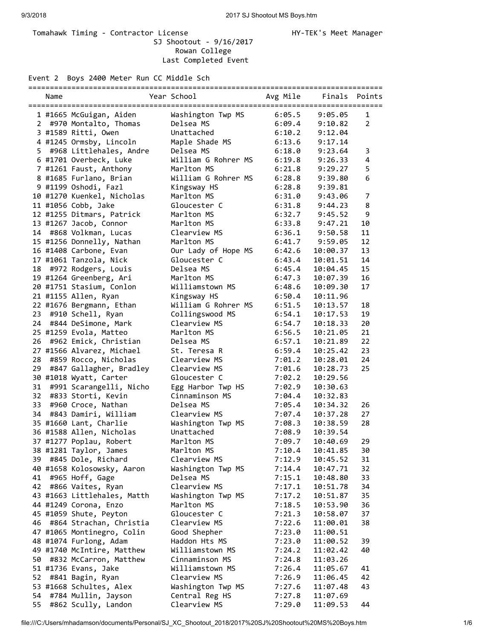## Tomahawk Timing - Contractor License Manager Manager HY-TEK's Meet Manager SJ Shootout - 9/16/2017 Rowan College Last Completed Event

Event 2 Boys 2400 Meter Run CC Middle Sch

|             | Name |                             | Year School               | Avg Mile | Finals Points |                |
|-------------|------|-----------------------------|---------------------------|----------|---------------|----------------|
|             |      | 1 #1665 McGuigan, Aiden     | Washington Twp MS         | 6:05.5   | 9:05.05       | 1              |
| $2^{\circ}$ |      | #970 Montalto, Thomas       | Delsea MS                 | 6:09.4   | 9:10.82       | $\overline{2}$ |
|             |      | 3 #1589 Ritti, Owen         | Unattached                | 6:10.2   | 9:12.04       |                |
|             |      | 4 #1245 Ormsby, Lincoln     | Maple Shade MS            | 6:13.6   | 9:17.14       |                |
| 5.          |      | #968 Littlehales, Andre     | Delsea MS                 | 6:18.0   | 9:23.64       | 3              |
|             |      | 6 #1701 Overbeck, Luke      | William G Rohrer MS       | 6:19.8   | 9:26.33       | 4              |
|             |      | 7 #1261 Faust, Anthony      | Marlton MS                | 6:21.8   | 9:29.27       | 5              |
|             |      | 8 #1685 Furlano, Brian      | William G Rohrer MS       | 6:28.8   |               | 6              |
|             |      |                             |                           |          | 9:39.80       |                |
|             |      | 9 #1199 Oshodi, Fazl        | Kingsway HS<br>Marlton MS | 6:28.8   | 9:39.81       | $\overline{7}$ |
|             |      | 10 #1270 Kuenkel, Nicholas  |                           | 6:31.0   | 9:43.06       |                |
|             |      | 11 #1056 Cobb, Jake         | Gloucester C              | 6:31.8   | 9:44.23       | 8              |
|             |      | 12 #1255 Ditmars, Patrick   | Marlton MS                | 6:32.7   | 9:45.52       | 9              |
|             |      | 13 #1267 Jacob, Connor      | Marlton MS                | 6:33.8   | 9:47.21       | 10             |
|             |      | 14 #868 Volkman, Lucas      | Clearview MS              | 6:36.1   | 9:50.58       | 11             |
|             |      | 15 #1256 Donnelly, Nathan   | Marlton MS                | 6:41.7   | 9:59.05       | 12             |
|             |      | 16 #1408 Carbone, Evan      | Our Lady of Hope MS       | 6:42.6   | 10:00.37      | 13             |
|             |      | 17 #1061 Tanzola, Nick      | Gloucester C              | 6:43.4   | 10:01.51      | 14             |
| 18          |      | #972 Rodgers, Louis         | Delsea MS                 | 6:45.4   | 10:04.45      | 15             |
|             |      | 19 #1264 Greenberg, Ari     | Marlton MS                | 6:47.3   | 10:07.39      | 16             |
|             |      | 20 #1751 Stasium, Conlon    | Williamstown MS           | 6:48.6   | 10:09.30      | 17             |
|             |      | 21 #1155 Allen, Ryan        | Kingsway HS               | 6:50.4   | 10:11.96      |                |
|             |      | 22 #1676 Bergmann, Ethan    | William G Rohrer MS       | 6:51.5   | 10:13.57      | 18             |
| 23          |      | #910 Schell, Ryan           | Collingswood MS           | 6:54.1   | 10:17.53      | 19             |
| 24          |      | #844 DeSimone, Mark         | Clearview MS              | 6:54.7   | 10:18.33      | 20             |
|             |      | 25 #1259 Evola, Matteo      | Marlton MS                | 6:56.5   | 10:21.05      | 21             |
| 26          |      | #962 Emick, Christian       | Delsea MS                 | 6:57.1   | 10:21.89      | 22             |
|             |      | 27 #1566 Alvarez, Michael   | St. Teresa R              | 6:59.4   | 10:25.42      | 23             |
| 28          |      | #859 Rocco, Nicholas        | Clearview MS              | 7:01.2   | 10:28.01      | 24             |
| 29          |      | #847 Gallagher, Bradley     | Clearview MS              | 7:01.6   | 10:28.73      | 25             |
|             |      | 30 #1018 Wyatt, Carter      | Gloucester C              | 7:02.2   | 10:29.56      |                |
| 31          |      | #991 Scarangelli, Nicho     | Egg Harbor Twp HS         | 7:02.9   | 10:30.63      |                |
| 32          |      | #833 Storti, Kevin          | Cinnaminson MS            | 7:04.4   | 10:32.83      |                |
| 33          |      | #960 Croce, Nathan          | Delsea MS                 | 7:05.4   | 10:34.32      | 26             |
| 34          |      | #843 Damiri, William        | Clearview MS              | 7:07.4   | 10:37.28      | 27             |
|             |      | 35 #1660 Lant, Charlie      | Washington Twp MS         | 7:08.3   | 10:38.59      | 28             |
|             |      | 36 #1588 Allen, Nicholas    | Unattached                | 7:08.9   | 10:39.54      |                |
|             |      | 37 #1277 Poplau, Robert     | Marlton MS                | 7:09.7   | 10:40.69      | 29             |
|             |      | 38 #1281 Taylor, James      | Marlton MS                | 7:10.4   | 10:41.85      | 30             |
| 39          |      | #845 Dole, Richard          | Clearview MS              | 7:12.9   | 10:45.52      | 31             |
|             |      | 40 #1658 Kolosowsky, Aaron  | Washington Twp MS         | 7:14.4   | 10:47.71      | 32             |
| 41          |      | #965 Hoff, Gage             | Delsea MS                 | 7:15.1   | 10:48.80      | 33             |
| 42          |      | #866 Vaites, Ryan           | Clearview MS              | 7:17.1   | 10:51.78      | 34             |
|             |      | 43 #1663 Littlehales, Matth | Washington Twp MS         | 7:17.2   | 10:51.87      | 35             |
|             |      | 44 #1249 Corona, Enzo       | Marlton MS                | 7:18.5   | 10:53.90      | 36             |
|             |      | 45 #1059 Shute, Peyton      | Gloucester C              | 7:21.3   | 10:58.07      | 37             |
| 46          |      | #864 Strachan, Christia     | Clearview MS              | 7:22.6   | 11:00.01      | 38             |
|             |      | 47 #1065 Montinegro, Colin  | Good Shepher              | 7:23.0   | 11:00.51      |                |
|             |      | 48 #1074 Furlong, Adam      | Haddon Hts MS             | 7:23.0   | 11:00.52      | 39             |
|             |      | 49 #1740 McIntire, Matthew  | Williamstown MS           | 7:24.2   | 11:02.42      | 40             |
| 50          |      | #832 McCarron, Matthew      | Cinnaminson MS            | 7:24.8   | 11:03.26      |                |
|             |      | 51 #1736 Evans, Jake        | Williamstown MS           | 7:26.4   | 11:05.67      | 41             |
| 52          |      | #841 Bagin, Ryan            | Clearview MS              | 7:26.9   | 11:06.45      | 42             |
|             |      | 53 #1668 Schultes, Alex     | Washington Twp MS         |          |               | 43             |
|             |      |                             |                           | 7:27.6   | 11:07.48      |                |
| 54          |      | #784 Mullin, Jayson         | Central Reg HS            | 7:27.8   | 11:07.69      |                |
| 55          |      | #862 Scully, Landon         | Clearview MS              | 7:29.0   | 11:09.53      | 44             |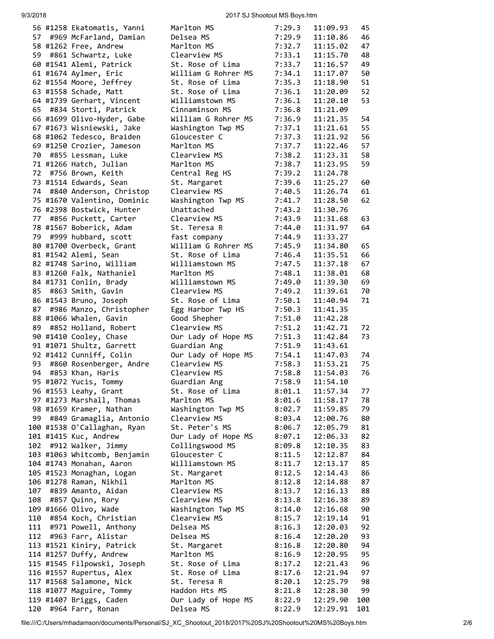## 9/3/2018 2017 SJ Shootout MS Boys.htm

|      | 56 #1258 Ekatomatis, Yanni                           | Marlton MS                           | 7:29.3           | 11:09.93             | 45       |
|------|------------------------------------------------------|--------------------------------------|------------------|----------------------|----------|
| 57 - | #969 McFarland, Damian                               | Delsea MS                            | 7:29.9           | 11:10.86             | 46       |
|      | 58 #1262 Free, Andrew                                | Marlton MS                           | 7:32.7           | 11:15.02             | 47       |
| 59   | #861 Schwartz, Luke                                  | Clearview MS                         | 7:33.1           | 11:15.70             | 48       |
|      | 60 #1541 Alemi, Patrick                              | St. Rose of Lima                     | 7:33.7           | 11:16.57             | 49       |
|      | 61 #1674 Aylmer, Eric                                | William G Rohrer MS                  | 7:34.1           | 11:17.07             | 50       |
|      | 62 #1554 Moore, Jeffrey                              | St. Rose of Lima                     | 7:35.3           | 11:18.90             | 51       |
|      | 63 #1558 Schade, Matt                                | St. Rose of Lima                     | 7:36.1           | 11:20.09             | 52       |
|      | 64 #1739 Gerhart, Vincent                            | Williamstown MS                      | 7:36.1           | 11:20.10             | 53       |
|      | 65 #834 Storti, Patrick                              | Cinnaminson MS                       | 7:36.8           | 11:21.09             |          |
|      | 66 #1699 Olivo-Hyder, Gabe                           | William G Rohrer MS                  | 7:36.9           | 11:21.35             | 54       |
|      | 67 #1673 Wisniewski, Jake                            | Washington Twp MS                    | 7:37.1           | 11:21.61             | 55       |
|      | 68 #1062 Tedesco, Braiden                            | Gloucester C                         | 7:37.3           | 11:21.92             | 56       |
|      | 69 #1250 Crozier, Jameson                            | Marlton MS                           | 7:37.7           | 11:22.46             | 57       |
| 70   | #855 Lessman, Luke                                   | Clearview MS                         | 7:38.2           | 11:23.31             | 58       |
|      | 71 #1266 Hatch, Julian                               | Marlton MS                           | 7:38.7           | 11:23.95             | 59       |
|      | 72 #756 Brown, Keith                                 | Central Reg HS                       | 7:39.2           | 11:24.78             |          |
|      | 73 #1514 Edwards, Sean                               | St. Margaret                         | 7:39.6           | 11:25.27             | 60       |
| 74   | #840 Anderson, Christop                              | Clearview MS                         | 7:40.5           | 11:26.74             | 61       |
|      | 75 #1670 Valentino, Dominic                          | Washington Twp MS                    | 7:41.7           | 11:28.50             | 62       |
| 77   | 76 #2398 Bostwick, Hunter                            | Unattached                           | 7:43.2           | 11:30.76<br>11:31.68 |          |
|      | #856 Puckett, Carter<br>78 #1567 Boberick, Adam      | Clearview MS                         | 7:43.9           | 11:31.97             | 63<br>64 |
|      | 79 #999 hubbard, scott                               | St. Teresa R                         | 7:44.0<br>7:44.9 | 11:33.27             |          |
|      | 80 #1700 Overbeck, Grant                             | fast company<br>William G Rohrer MS  | 7:45.9           | 11:34.80             | 65       |
|      | 81 #1542 Alemi, Sean                                 | St. Rose of Lima                     | 7:46.4           | 11:35.51             | 66       |
|      | 82 #1748 Sarino, William                             | Williamstown MS                      | 7:47.5           | 11:37.18             | 67       |
|      | 83 #1260 Falk, Nathaniel                             | Marlton MS                           | 7:48.1           | 11:38.01             | 68       |
|      | 84 #1731 Conlin, Brady                               | Williamstown MS                      | 7:49.0           | 11:39.30             | 69       |
| 85   | #863 Smith, Gavin                                    | Clearview MS                         | 7:49.2           | 11:39.61             | 70       |
|      | 86 #1543 Bruno, Joseph                               | St. Rose of Lima                     | 7:50.1           | 11:40.94             | 71       |
| 87   | #986 Manzo, Christopher                              | Egg Harbor Twp HS                    | 7:50.3           | 11:41.35             |          |
|      | 88 #1066 Whalen, Gavin                               | Good Shepher                         | 7:51.0           | 11:42.28             |          |
| 89   | #852 Holland, Robert                                 | Clearview MS                         | 7:51.2           | 11:42.71             | 72       |
|      | 90 #1410 Cooley, Chase                               | Our Lady of Hope MS                  | 7:51.3           | 11:42.84             | 73       |
|      | 91 #1071 Shultz, Garrett                             | Guardian Ang                         | 7:51.9           | 11:43.61             |          |
|      | 92 #1412 Cunniff, Colin                              | Our Lady of Hope MS                  | 7:54.1           | 11:47.03             | 74       |
| 93   | #860 Rosenberger, Andre                              | Clearview MS                         | 7:58.3           | 11:53.21             | 75       |
| 94   | #853 Khan, Haris                                     | Clearview MS                         | 7:58.8           | 11:54.03             | 76       |
|      | 95 #1072 Yucis, Tommy                                | Guardian Ang                         | 7:58.9           | 11:54.10             |          |
|      | 96 #1553 Leahy, Grant                                | St. Rose of Lima                     | 8:01.1           | 11:57.34             | 77       |
|      | 97 #1273 Marshall, Thomas                            | Marlton MS                           | 8:01.6           | 11:58.17             | 78       |
|      | 98 #1659 Kramer, Nathan                              | Washington Twp MS                    | 8:02.7           | 11:59.85             | 79       |
| 99   | #849 Gramaglia, Antonio                              | Clearview MS                         | 8:03.4           | 12:00.76             | 80       |
|      | 100 #1538 O'Callaghan, Ryan                          | St. Peter's MS                       | 8:06.7           | 12:05.79             | 81       |
|      | 101 #1415 Kuc, Andrew                                | Our Lady of Hope MS                  | 8:07.1           | 12:06.33             | 82       |
| 102  | #912 Walker, Jimmy                                   | Collingswood MS                      | 8:09.8           | 12:10.35             | 83       |
|      | 103 #1063 Whitcomb, Benjamin                         | Gloucester C                         | 8:11.5           | 12:12.87             | 84       |
|      | 104 #1743 Monahan, Aaron                             | Williamstown MS                      | 8:11.7           | 12:13.17             | 85       |
|      | 105 #1523 Monaghan, Logan                            | St. Margaret                         | 8:12.5           | 12:14.43             | 86       |
|      | 106 #1278 Raman, Nikhil                              | Marlton MS                           | 8:12.8           | 12:14.88             | 87       |
| 107  | #839 Amanto, Aidan                                   | Clearview MS                         | 8:13.7           | 12:16.13             | 88       |
| 108  | #857 Quinn, Rory                                     | Clearview MS                         | 8:13.8           | 12:16.38             | 89       |
|      | 109 #1666 Olivo, Wade                                | Washington Twp MS                    | 8:14.0           | 12:16.68             | 90       |
| 110  | #854 Koch, Christian                                 | Clearview MS                         | 8:15.7           | 12:19.14             | 91       |
| 111  | #971 Powell, Anthony                                 | Delsea MS                            | 8:16.3           | 12:20.03             | 92       |
|      | 112 #963 Farr, Alistar                               | Delsea MS                            | 8:16.4           | 12:20.20             | 93       |
|      | 113 #1521 Kiniry, Patrick                            | St. Margaret                         | 8:16.8           | 12:20.80             | 94       |
|      | 114 #1257 Duffy, Andrew                              | Marlton MS                           | 8:16.9           | 12:20.95             | 95       |
|      | 115 #1545 Filpowski, Joseph                          | St. Rose of Lima<br>St. Rose of Lima | 8:17.2           | 12:21.43             | 96<br>97 |
|      | 116 #1557 Rupertus, Alex<br>117 #1568 Salamone, Nick | St. Teresa R                         | 8:17.6<br>8:20.1 | 12:21.94<br>12:25.79 | 98       |
|      | 118 #1077 Maguire, Tommy                             | Haddon Hts MS                        | 8:21.8           | 12:28.30             | 99       |
|      | 119 #1407 Briggs, Caden                              | Our Lady of Hope MS                  | 8:22.9           | 12:29.90             | 100      |
| 120  | #964 Farr, Ronan                                     | Delsea MS                            | 8:22.9           | 12:29.91             | 101      |
|      |                                                      |                                      |                  |                      |          |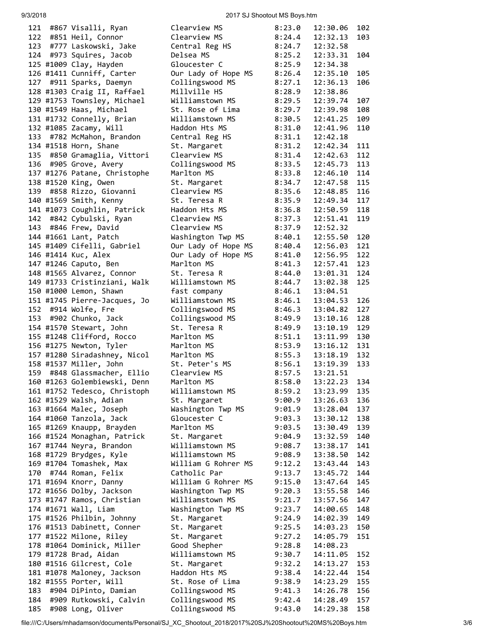## 9/3/2018 2017 SJ Shootout MS Boys.htm

| 121 | #867 Visalli, Ryan           | Clearview MS        | 8:23.0 | 12:30.06 | 102 |
|-----|------------------------------|---------------------|--------|----------|-----|
| 122 | #851 Heil, Connor            | Clearview MS        | 8:24.4 | 12:32.13 | 103 |
| 123 | #777 Laskowski, Jake         | Central Reg HS      | 8:24.7 | 12:32.58 |     |
| 124 | #973 Squires, Jacob          | Delsea MS           | 8:25.2 | 12:33.31 | 104 |
|     | 125 #1009 Clay, Hayden       | Gloucester C        | 8:25.9 | 12:34.38 |     |
|     |                              |                     |        |          |     |
|     | 126 #1411 Cunniff, Carter    | Our Lady of Hope MS | 8:26.4 | 12:35.10 | 105 |
| 127 | #911 Sparks, Daemyn          | Collingswood MS     | 8:27.1 | 12:36.13 | 106 |
|     | 128 #1303 Craig II, Raffael  | Millville HS        | 8:28.9 | 12:38.86 |     |
|     | 129 #1753 Townsley, Michael  | Williamstown MS     | 8:29.5 | 12:39.74 | 107 |
|     | 130 #1549 Haas, Michael      | St. Rose of Lima    | 8:29.7 | 12:39.98 | 108 |
|     | 131 #1732 Connelly, Brian    | Williamstown MS     | 8:30.5 | 12:41.25 | 109 |
|     | 132 #1085 Zacamy, Will       | Haddon Hts MS       | 8:31.0 | 12:41.96 | 110 |
|     | 133 #782 McMahon, Brandon    | Central Reg HS      | 8:31.1 | 12:42.18 |     |
|     | 134 #1518 Horn, Shane        | St. Margaret        | 8:31.2 | 12:42.34 | 111 |
| 135 | #850 Gramaglia, Vittori      | Clearview MS        | 8:31.4 | 12:42.63 | 112 |
| 136 | #905 Grove, Avery            | Collingswood MS     | 8:33.5 | 12:45.73 | 113 |
|     |                              |                     |        |          |     |
|     | 137 #1276 Patane, Christophe | Marlton MS          | 8:33.8 | 12:46.10 | 114 |
|     | 138 #1520 King, Owen         | St. Margaret        | 8:34.7 | 12:47.58 | 115 |
| 139 | #858 Rizzo, Giovanni         | Clearview MS        | 8:35.6 | 12:48.85 | 116 |
|     | 140 #1569 Smith, Kenny       | St. Teresa R        | 8:35.9 | 12:49.34 | 117 |
|     | 141 #1073 Coughlin, Patrick  | Haddon Hts MS       | 8:36.8 | 12:50.59 | 118 |
| 142 | #842 Cybulski, Ryan          | Clearview MS        | 8:37.3 | 12:51.41 | 119 |
| 143 | #846 Frew, David             | Clearview MS        | 8:37.9 | 12:52.32 |     |
|     | 144 #1661 Lant, Patch        | Washington Twp MS   | 8:40.1 | 12:55.50 | 120 |
|     | 145 #1409 Cifelli, Gabriel   | Our Lady of Hope MS | 8:40.4 | 12:56.03 | 121 |
|     | 146 #1414 Kuc, Alex          | Our Lady of Hope MS | 8:41.0 | 12:56.95 | 122 |
|     | 147 #1246 Caputo, Ben        | Marlton MS          | 8:41.3 | 12:57.41 | 123 |
|     | 148 #1565 Alvarez, Connor    | St. Teresa R        | 8:44.0 | 13:01.31 | 124 |
|     |                              |                     |        |          |     |
|     | 149 #1733 Cristinziani, Walk | Williamstown MS     | 8:44.7 | 13:02.38 | 125 |
|     | 150 #1000 Lemon, Shawn       | fast company        | 8:46.1 | 13:04.51 |     |
|     | 151 #1745 Pierre-Jacques, Jo | Williamstown MS     | 8:46.1 | 13:04.53 | 126 |
| 152 | #914 Wolfe, Fre              | Collingswood MS     | 8:46.3 | 13:04.82 | 127 |
| 153 | #902 Chunko, Jack            | Collingswood MS     | 8:49.9 | 13:10.16 | 128 |
|     | 154 #1570 Stewart, John      | St. Teresa R        | 8:49.9 | 13:10.19 | 129 |
|     | 155 #1248 Clifford, Rocco    | Marlton MS          | 8:51.1 | 13:11.99 | 130 |
|     | 156 #1275 Newton, Tyler      | Marlton MS          | 8:53.9 | 13:16.12 | 131 |
|     | 157 #1280 Siradashney, Nicol | Marlton MS          | 8:55.3 | 13:18.19 | 132 |
|     | 158 #1537 Miller, John       | St. Peter's MS      | 8:56.1 | 13:19.39 | 133 |
| 159 | #848 Glassmacher, Ellio      | Clearview MS        | 8:57.5 | 13:21.51 |     |
|     | 160 #1263 Golembiewski, Denn | Marlton MS          | 8:58.0 | 13:22.23 | 134 |
|     |                              |                     |        |          |     |
|     | 161 #1752 Tedesco, Christoph | Williamstown MS     | 8:59.2 | 13:23.99 | 135 |
|     | 162 #1529 Walsh, Adian       | St. Margaret        | 9:00.9 | 13:26.63 | 136 |
|     | 163 #1664 Malec, Joseph      | Washington Twp MS   | 9:01.9 | 13:28.04 | 137 |
|     | 164 #1060 Tanzola, Jack      | Gloucester C        | 9:03.3 | 13:30.12 | 138 |
|     | 165 #1269 Knaupp, Brayden    | Marlton MS          | 9:03.5 | 13:30.49 | 139 |
|     | 166 #1524 Monaghan, Patrick  | St. Margaret        | 9:04.9 | 13:32.59 | 140 |
|     | 167 #1744 Neyra, Brandon     | Williamstown MS     | 9:08.7 | 13:38.17 | 141 |
|     | 168 #1729 Brydges, Kyle      | Williamstown MS     | 9:08.9 | 13:38.50 | 142 |
|     | 169 #1704 Tomashek, Max      | William G Rohrer MS | 9:12.2 | 13:43.44 | 143 |
|     | 170 #744 Roman, Felix        | Catholic Par        | 9:13.7 | 13:45.72 | 144 |
|     | 171 #1694 Knorr, Danny       | William G Rohrer MS | 9:15.0 | 13:47.64 | 145 |
|     | 172 #1656 Dolby, Jackson     | Washington Twp MS   | 9:20.3 | 13:55.58 | 146 |
|     | 173 #1747 Ramos, Christian   | Williamstown MS     | 9:21.7 | 13:57.56 | 147 |
|     |                              |                     |        |          |     |
|     | 174 #1671 Wall, Liam         | Washington Twp MS   | 9:23.7 | 14:00.65 | 148 |
|     | 175 #1526 Philbin, Johnny    | St. Margaret        | 9:24.9 | 14:02.39 | 149 |
|     | 176 #1513 Dabinett, Conner   | St. Margaret        | 9:25.5 | 14:03.23 | 150 |
|     | 177 #1522 Milone, Riley      | St. Margaret        | 9:27.2 | 14:05.79 | 151 |
|     | 178 #1064 Dominick, Miller   | Good Shepher        | 9:28.8 | 14:08.23 |     |
|     | 179 #1728 Brad, Aidan        | Williamstown MS     | 9:30.7 | 14:11.05 | 152 |
|     | 180 #1516 Gilcrest, Cole     | St. Margaret        | 9:32.2 | 14:13.27 | 153 |
|     | 181 #1078 Maloney, Jackson   | Haddon Hts MS       | 9:38.4 | 14:22.44 | 154 |
|     | 182 #1555 Porter, Will       | St. Rose of Lima    | 9:38.9 | 14:23.29 | 155 |
| 183 | #904 DiPinto, Damian         | Collingswood MS     | 9:41.3 | 14:26.78 | 156 |
| 184 | #909 Rutkowski, Calvin       | Collingswood MS     | 9:42.4 | 14:28.49 | 157 |
| 185 | #908 Long, Oliver            | Collingswood MS     | 9:43.0 | 14:29.38 | 158 |
|     |                              |                     |        |          |     |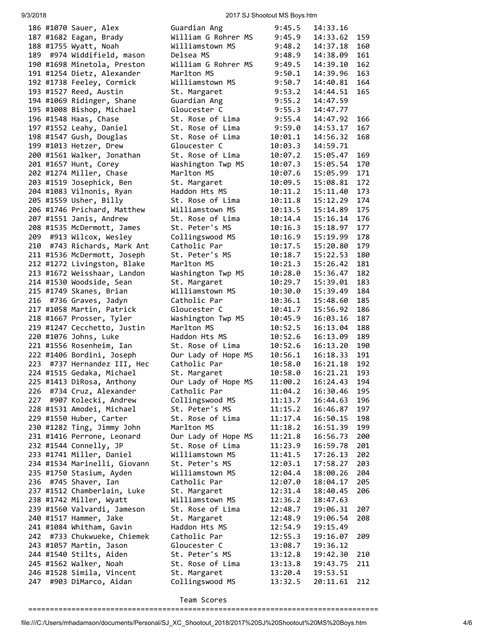9/3/2018 2017 SJ Shootout MS Boys.htm

|     | 186 #1070 Sauer, Alex        | Guardian Ang        | 9:45.5  | 14:33.16 |     |
|-----|------------------------------|---------------------|---------|----------|-----|
|     |                              |                     |         |          |     |
|     | 187 #1682 Eagan, Brady       | William G Rohrer MS | 9:45.9  | 14:33.62 | 159 |
|     | 188 #1755 Wyatt, Noah        | Williamstown MS     | 9:48.2  | 14:37.18 | 160 |
|     | 189 #974 Widdifield, mason   | Delsea MS           | 9:48.9  | 14:38.09 | 161 |
|     | 190 #1698 Minetola, Preston  | William G Rohrer MS | 9:49.5  | 14:39.10 | 162 |
|     | 191 #1254 Dietz, Alexander   | Marlton MS          | 9:50.1  | 14:39.96 | 163 |
|     | 192 #1738 Feeley, Cormick    | Williamstown MS     | 9:50.7  | 14:40.81 | 164 |
|     | 193 #1527 Reed, Austin       | St. Margaret        | 9:53.2  | 14:44.51 | 165 |
|     | 194 #1069 Ridinger, Shane    | Guardian Ang        | 9:55.2  | 14:47.59 |     |
|     |                              | Gloucester C        |         | 14:47.77 |     |
|     | 195 #1008 Bishop, Michael    |                     | 9:55.3  |          |     |
|     | 196 #1548 Haas, Chase        | St. Rose of Lima    | 9:55.4  | 14:47.92 | 166 |
|     | 197 #1552 Leahy, Daniel      | St. Rose of Lima    | 9:59.0  | 14:53.17 | 167 |
|     | 198 #1547 Gush, Douglas      | St. Rose of Lima    | 10:01.1 | 14:56.32 | 168 |
|     | 199 #1013 Hetzer, Drew       | Gloucester C        | 10:03.3 | 14:59.71 |     |
|     | 200 #1561 Walker, Jonathan   | St. Rose of Lima    | 10:07.2 | 15:05.47 | 169 |
|     | 201 #1657 Hunt, Corey        | Washington Twp MS   | 10:07.3 | 15:05.54 | 170 |
|     | 202 #1274 Miller, Chase      | Marlton MS          | 10:07.6 | 15:05.99 | 171 |
|     | 203 #1519 Josephick, Ben     | St. Margaret        | 10:09.5 | 15:08.81 | 172 |
|     | 204 #1083 Vilnonis, Ryan     | Haddon Hts MS       | 10:11.2 | 15:11.40 | 173 |
|     |                              |                     |         |          | 174 |
|     | 205 #1559 Usher, Billy       | St. Rose of Lima    | 10:11.8 | 15:12.29 |     |
|     | 206 #1746 Prichard, Matthew  | Williamstown MS     | 10:13.5 | 15:14.89 | 175 |
|     | 207 #1551 Janis, Andrew      | St. Rose of Lima    | 10:14.4 | 15:16.14 | 176 |
|     | 208 #1535 McDermott, James   | St. Peter's MS      | 10:16.3 | 15:18.97 | 177 |
| 209 | #913 Wilcox, Wesley          | Collingswood MS     | 10:16.9 | 15:19.99 | 178 |
| 210 | #743 Richards, Mark Ant      | Catholic Par        | 10:17.5 | 15:20.80 | 179 |
|     | 211 #1536 McDermott, Joseph  | St. Peter's MS      | 10:18.7 | 15:22.53 | 180 |
|     | 212 #1272 Livingston, Blake  | Marlton MS          | 10:21.3 | 15:26.42 | 181 |
|     | 213 #1672 Weisshaar, Landon  | Washington Twp MS   | 10:28.0 | 15:36.47 | 182 |
|     | 214 #1530 Woodside, Sean     | St. Margaret        | 10:29.7 | 15:39.01 | 183 |
|     |                              |                     |         |          |     |
|     | 215 #1749 Skanes, Brian      | Williamstown MS     | 10:30.0 | 15:39.49 | 184 |
| 216 | #736 Graves, Jadyn           | Catholic Par        | 10:36.1 | 15:48.60 | 185 |
|     | 217 #1058 Martin, Patrick    | Gloucester C        | 10:41.7 | 15:56.92 | 186 |
|     | 218 #1667 Prosser, Tyler     | Washington Twp MS   | 10:45.9 | 16:03.16 | 187 |
|     | 219 #1247 Cecchetto, Justin  | Marlton MS          | 10:52.5 | 16:13.04 | 188 |
|     | 220 #1076 Johns, Luke        | Haddon Hts MS       | 10:52.6 | 16:13.09 | 189 |
|     | 221 #1556 Rosenheim, Ian     | St. Rose of Lima    | 10:52.6 | 16:13.20 | 190 |
|     | 222 #1406 Bordini, Joseph    | Our Lady of Hope MS | 10:56.1 | 16:18.33 | 191 |
|     | 223 #737 Hernandez III, Hec  | Catholic Par        | 10:58.0 | 16:21.18 | 192 |
|     | 224 #1515 Gedaka, Michael    | St. Margaret        | 10:58.0 | 16:21.21 | 193 |
|     |                              |                     |         | 16:24.43 | 194 |
|     | 225 #1413 DiRosa, Anthony    | Our Lady of Hope MS | 11:00.2 |          |     |
| 226 | #734 Cruz, Alexander         | Catholic Par        | 11:04.2 | 16:30.46 | 195 |
|     | 227 #907 Kolecki, Andrew     | Collingswood MS     | 11:13.7 | 16:44.63 | 196 |
|     | 228 #1531 Amodei, Michael    | St. Peter's MS      | 11:15.2 | 16:46.87 | 197 |
|     | 229 #1550 Huber, Carter      | St. Rose of Lima    | 11:17.4 | 16:50.15 | 198 |
|     | 230 #1282 Ting, Jimmy John   | Marlton MS          | 11:18.2 | 16:51.39 | 199 |
|     | 231 #1416 Perrone, Leonard   | Our Lady of Hope MS | 11:21.8 | 16:56.73 | 200 |
|     | 232 #1544 Connelly, JP       | St. Rose of Lima    | 11:23.9 | 16:59.78 | 201 |
|     | 233 #1741 Miller, Daniel     | Williamstown MS     | 11:41.5 | 17:26.13 | 202 |
|     | 234 #1534 Marinelli, Giovann | St. Peter's MS      | 12:03.1 | 17:58.27 | 203 |
|     | 235 #1750 Stasium, Ayden     | Williamstown MS     | 12:04.4 | 18:00.26 | 204 |
| 236 | #745 Shaver, Ian             | Catholic Par        | 12:07.0 |          |     |
|     |                              |                     |         | 18:04.17 | 205 |
|     | 237 #1512 Chamberlain, Luke  | St. Margaret        | 12:31.4 | 18:40.45 | 206 |
|     | 238 #1742 Miller, Wyatt      | Williamstown MS     | 12:36.2 | 18:47.63 |     |
|     | 239 #1560 Valvardi, Jameson  | St. Rose of Lima    | 12:48.7 | 19:06.31 | 207 |
|     | 240 #1517 Hammer, Jake       | St. Margaret        | 12:48.9 | 19:06.54 | 208 |
|     | 241 #1084 Whitham, Gavin     | Haddon Hts MS       | 12:54.9 | 19:15.49 |     |
| 242 | #733 Chukwueke, Chiemek      | Catholic Par        | 12:55.3 | 19:16.07 | 209 |
|     | 243 #1057 Martin, Jason      | Gloucester C        | 13:08.7 | 19:36.12 |     |
|     | 244 #1540 Stilts, Aiden      | St. Peter's MS      | 13:12.8 | 19:42.30 | 210 |
|     | 245 #1562 Walker, Noah       | St. Rose of Lima    | 13:13.8 | 19:43.75 | 211 |
|     | 246 #1528 Simila, Vincent    | St. Margaret        | 13:20.4 | 19:53.51 |     |
| 247 | #903 DiMarco, Aidan          | Collingswood MS     | 13:32.5 | 20:11.61 | 212 |
|     |                              |                     |         |          |     |
|     |                              |                     |         |          |     |

Team Scores

=================================================================================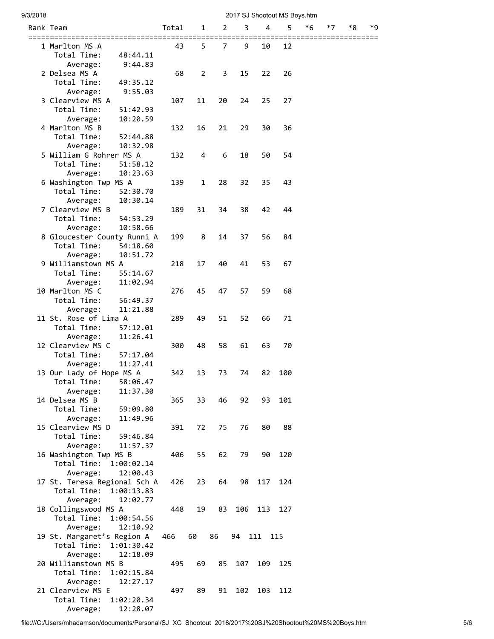| 9/3/2018 |                                              |       |    |    |     |            | 2017 SJ Shootout MS Boys.htm |                        |    |    |    |
|----------|----------------------------------------------|-------|----|----|-----|------------|------------------------------|------------------------|----|----|----|
|          | Rank Team                                    | Total | 1  | 2  | 3   | 4          | 5                            | *6                     | *7 | *8 | *9 |
|          | =========================                    | 43    | 5  | 7  | 9   | 10         | 12                           | ====================== |    |    |    |
|          | 1 Marlton MS A<br>Total Time:<br>48:44.11    |       |    |    |     |            |                              |                        |    |    |    |
|          | 9:44.83<br>Average:                          |       |    |    |     |            |                              |                        |    |    |    |
|          | 2 Delsea MS A                                | 68    | 2  | 3  | 15  | 22         | 26                           |                        |    |    |    |
|          | Total Time:<br>49:35.12                      |       |    |    |     |            |                              |                        |    |    |    |
|          | 9:55.03<br>Average:                          |       |    |    |     |            |                              |                        |    |    |    |
|          | 3 Clearview MS A                             | 107   | 11 | 20 | 24  | 25         | 27                           |                        |    |    |    |
|          | Total Time:<br>51:42.93                      |       |    |    |     |            |                              |                        |    |    |    |
|          | 10:20.59<br>Average:<br>4 Marlton MS B       | 132   | 16 | 21 | 29  | 30         | 36                           |                        |    |    |    |
|          | Total Time:<br>52:44.88                      |       |    |    |     |            |                              |                        |    |    |    |
|          | 10:32.98<br>Average:                         |       |    |    |     |            |                              |                        |    |    |    |
|          | 5 William G Rohrer MS A                      | 132   | 4  | 6  | 18  | 50         | 54                           |                        |    |    |    |
|          | Total Time:<br>51:58.12                      |       |    |    |     |            |                              |                        |    |    |    |
|          | 10:23.63<br>Average:                         |       |    |    |     |            |                              |                        |    |    |    |
|          | 6 Washington Twp MS A                        | 139   | 1  | 28 | 32  | 35         | 43                           |                        |    |    |    |
|          | Total Time:<br>52:30.70                      |       |    |    |     |            |                              |                        |    |    |    |
|          | 10:30.14<br>Average:<br>7 Clearview MS B     |       |    |    |     |            |                              |                        |    |    |    |
|          | Total Time:<br>54:53.29                      | 189   | 31 | 34 | 38  | 42         | 44                           |                        |    |    |    |
|          | 10:58.66<br>Average:                         |       |    |    |     |            |                              |                        |    |    |    |
|          | 8 Gloucester County Runni A                  | 199   | 8  | 14 | 37  | 56         | 84                           |                        |    |    |    |
|          | Total Time:<br>54:18.60                      |       |    |    |     |            |                              |                        |    |    |    |
|          | 10:51.72<br>Average:                         |       |    |    |     |            |                              |                        |    |    |    |
|          | 9 Williamstown MS A                          | 218   | 17 | 40 | 41  | 53         | 67                           |                        |    |    |    |
|          | Total Time:<br>55:14.67                      |       |    |    |     |            |                              |                        |    |    |    |
|          | 11:02.94<br>Average:                         |       |    |    |     |            |                              |                        |    |    |    |
|          | 10 Marlton MS C<br>Total Time:               | 276   | 45 | 47 | 57  | 59         | 68                           |                        |    |    |    |
|          | 56:49.37<br>11:21.88<br>Average:             |       |    |    |     |            |                              |                        |    |    |    |
|          | 11 St. Rose of Lima A                        | 289   | 49 | 51 | 52  | 66         | 71                           |                        |    |    |    |
|          | Total Time:<br>57:12.01                      |       |    |    |     |            |                              |                        |    |    |    |
|          | 11:26.41<br>Average:                         |       |    |    |     |            |                              |                        |    |    |    |
|          | 12 Clearview MS C                            | 300   | 48 | 58 | 61  | 63         | 70                           |                        |    |    |    |
|          | Total Time:<br>57:17.04                      |       |    |    |     |            |                              |                        |    |    |    |
|          | 11:27.41<br>Average:                         |       |    |    |     |            |                              |                        |    |    |    |
|          | 13 Our Lady of Hope MS A<br>Total Time:      | 342   | 13 | 73 | 74  | 82         | 100                          |                        |    |    |    |
|          | 58:06.47<br>Average:<br>11:37.30             |       |    |    |     |            |                              |                        |    |    |    |
|          | 14 Delsea MS B                               | 365   | 33 | 46 | 92  | 93         | 101                          |                        |    |    |    |
|          | Total Time:<br>59:09.80                      |       |    |    |     |            |                              |                        |    |    |    |
|          | Average:<br>11:49.96                         |       |    |    |     |            |                              |                        |    |    |    |
|          | 15 Clearview MS D                            | 391   | 72 | 75 | 76  | 80         | 88                           |                        |    |    |    |
|          | Total Time:<br>59:46.84                      |       |    |    |     |            |                              |                        |    |    |    |
|          | Average:<br>11:57.37                         |       |    |    |     |            |                              |                        |    |    |    |
|          | 16 Washington Twp MS B<br>Total Time:        | 406   | 55 | 62 | 79  | 90         | 120                          |                        |    |    |    |
|          | 1:00:02.14<br>12:00.43<br>Average:           |       |    |    |     |            |                              |                        |    |    |    |
|          | 17 St. Teresa Regional Sch A                 | 426   | 23 | 64 | 98  | 117        | 124                          |                        |    |    |    |
|          | Total Time:<br>1:00:13.83                    |       |    |    |     |            |                              |                        |    |    |    |
|          | 12:02.77<br>Average:                         |       |    |    |     |            |                              |                        |    |    |    |
|          | 18 Collingswood MS A                         | 448   | 19 | 83 |     | 106 113    | 127                          |                        |    |    |    |
|          | Total Time:<br>1:00:54.56                    |       |    |    |     |            |                              |                        |    |    |    |
|          | 12:10.92<br>Average:                         |       |    |    |     |            |                              |                        |    |    |    |
|          | 19 St. Margaret's Region A                   | 466   | 60 | 86 |     | 94 111 115 |                              |                        |    |    |    |
|          | Total Time:<br>1:01:30.42                    |       |    |    |     |            |                              |                        |    |    |    |
|          | Average:<br>12:18.09<br>20 Williamstown MS B | 495   | 69 | 85 | 107 | 109        | 125                          |                        |    |    |    |
|          | Total Time:<br>1:02:15.84                    |       |    |    |     |            |                              |                        |    |    |    |
|          | 12:27.17<br>Average:                         |       |    |    |     |            |                              |                        |    |    |    |
|          | 21 Clearview MS E                            | 497   | 89 | 91 | 102 | 103        | 112                          |                        |    |    |    |
|          | Total Time:<br>1:02:20.34                    |       |    |    |     |            |                              |                        |    |    |    |
|          | 12:28.07<br>Average:                         |       |    |    |     |            |                              |                        |    |    |    |